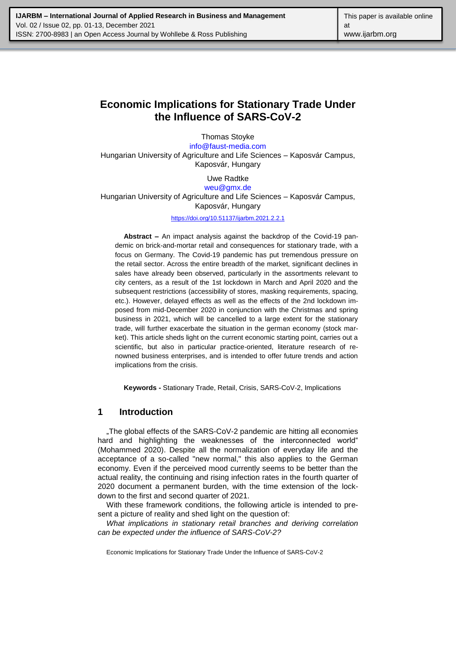# **Economic Implications for Stationary Trade Under the Influence of SARS-CoV-2**

Thomas Stoyke [info@faust-media.com](mailto:info@faust-media.com) Hungarian University of Agriculture and Life Sciences – Kaposvár Campus, Kaposvár, Hungary

> Uwe Radtke [weu@gmx.de](mailto:weu@gmx.de)

Hungarian University of Agriculture and Life Sciences – Kaposvár Campus, Kaposvár, Hungary

<https://doi.org/10.51137/ijarbm.2021.2.2.1>

**Abstract –** An impact analysis against the backdrop of the Covid-19 pandemic on brick-and-mortar retail and consequences for stationary trade, with a focus on Germany. The Covid-19 pandemic has put tremendous pressure on the retail sector. Across the entire breadth of the market, significant declines in sales have already been observed, particularly in the assortments relevant to city centers, as a result of the 1st lockdown in March and April 2020 and the subsequent restrictions (accessibility of stores, masking requirements, spacing, etc.). However, delayed effects as well as the effects of the 2nd lockdown imposed from mid-December 2020 in conjunction with the Christmas and spring business in 2021, which will be cancelled to a large extent for the stationary trade, will further exacerbate the situation in the german economy (stock market). This article sheds light on the current economic starting point, carries out a scientific, but also in particular practice-oriented, literature research of renowned business enterprises, and is intended to offer future trends and action implications from the crisis.

**Keywords -** Stationary Trade, Retail, Crisis, SARS-CoV-2, Implications

# **1 Introduction**

"The global effects of the SARS-CoV-2 pandemic are hitting all economies hard and highlighting the weaknesses of the interconnected world" (Mohammed 2020). Despite all the normalization of everyday life and the acceptance of a so-called "new normal," this also applies to the German economy. Even if the perceived mood currently seems to be better than the actual reality, the continuing and rising infection rates in the fourth quarter of 2020 document a permanent burden, with the time extension of the lockdown to the first and second quarter of 2021.

With these framework conditions, the following article is intended to present a picture of reality and shed light on the question of:

*What implications in stationary retail branches and deriving correlation can be expected under the influence of SARS-CoV-2?*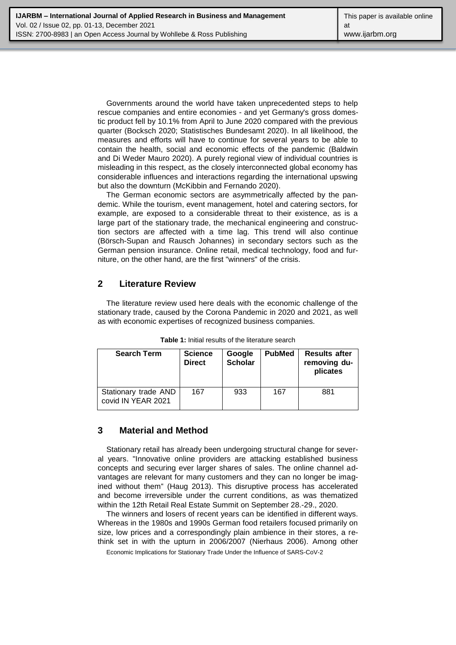Governments around the world have taken unprecedented steps to help rescue companies and entire economies - and yet Germany's gross domestic product fell by 10.1% from April to June 2020 compared with the previous quarter (Bocksch 2020; Statistisches Bundesamt 2020). In all likelihood, the measures and efforts will have to continue for several years to be able to contain the health, social and economic effects of the pandemic (Baldwin and Di Weder Mauro 2020). A purely regional view of individual countries is misleading in this respect, as the closely interconnected global economy has considerable influences and interactions regarding the international upswing but also the downturn (McKibbin and Fernando 2020).

The German economic sectors are asymmetrically affected by the pandemic. While the tourism, event management, hotel and catering sectors, for example, are exposed to a considerable threat to their existence, as is a large part of the stationary trade, the mechanical engineering and construction sectors are affected with a time lag. This trend will also continue (Börsch-Supan and Rausch Johannes) in secondary sectors such as the German pension insurance. Online retail, medical technology, food and furniture, on the other hand, are the first "winners" of the crisis.

# **2 Literature Review**

The literature review used here deals with the economic challenge of the stationary trade, caused by the Corona Pandemic in 2020 and 2021, as well as with economic expertises of recognized business companies.

| <b>Search Term</b>                         | <b>Science</b><br><b>Direct</b> | Google<br><b>Scholar</b> | <b>PubMed</b> | <b>Results after</b><br>removing du-<br>plicates |
|--------------------------------------------|---------------------------------|--------------------------|---------------|--------------------------------------------------|
| Stationary trade AND<br>covid IN YEAR 2021 | 167                             | 933                      | 167           | 881                                              |

**Table 1:** Initial results of the literature search

# **3 Material and Method**

Stationary retail has already been undergoing structural change for several years. "Innovative online providers are attacking established business concepts and securing ever larger shares of sales. The online channel advantages are relevant for many customers and they can no longer be imagined without them" (Haug 2013). This disruptive process has accelerated and become irreversible under the current conditions, as was thematized within the 12th Retail Real Estate Summit on September 28.-29., 2020.

The winners and losers of recent years can be identified in different ways. Whereas in the 1980s and 1990s German food retailers focused primarily on size, low prices and a correspondingly plain ambience in their stores, a rethink set in with the upturn in 2006/2007 (Nierhaus 2006). Among other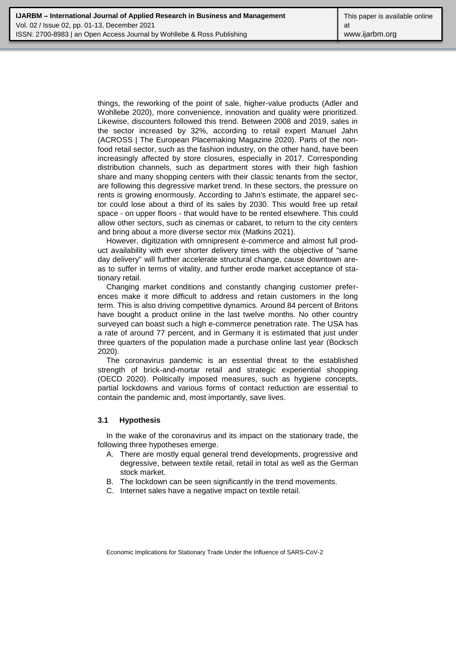things, the reworking of the point of sale, higher-value products (Adler and Wohllebe 2020), more convenience, innovation and quality were prioritized. Likewise, discounters followed this trend. Between 2008 and 2019, sales in the sector increased by 32%, according to retail expert Manuel Jahn (ACROSS | The European Placemaking Magazine 2020). Parts of the nonfood retail sector, such as the fashion industry, on the other hand, have been increasingly affected by store closures, especially in 2017. Corresponding distribution channels, such as department stores with their high fashion share and many shopping centers with their classic tenants from the sector, are following this degressive market trend. In these sectors, the pressure on rents is growing enormously. According to Jahn's estimate, the apparel sector could lose about a third of its sales by 2030. This would free up retail space - on upper floors - that would have to be rented elsewhere. This could allow other sectors, such as cinemas or cabaret, to return to the city centers and bring about a more diverse sector mix (Matkins 2021).

However, digitization with omnipresent e-commerce and almost full product availability with ever shorter delivery times with the objective of "same day delivery" will further accelerate structural change, cause downtown areas to suffer in terms of vitality, and further erode market acceptance of stationary retail.

Changing market conditions and constantly changing customer preferences make it more difficult to address and retain customers in the long term. This is also driving competitive dynamics. Around 84 percent of Britons have bought a product online in the last twelve months. No other country surveyed can boast such a high e-commerce penetration rate. The USA has a rate of around 77 percent, and in Germany it is estimated that just under three quarters of the population made a purchase online last year (Bocksch 2020).

The coronavirus pandemic is an essential threat to the established strength of brick-and-mortar retail and strategic experiential shopping (OECD 2020). Politically imposed measures, such as hygiene concepts, partial lockdowns and various forms of contact reduction are essential to contain the pandemic and, most importantly, save lives.

#### **3.1 Hypothesis**

In the wake of the coronavirus and its impact on the stationary trade, the following three hypotheses emerge.

- A. There are mostly equal general trend developments, progressive and degressive, between textile retail, retail in total as well as the German stock market.
- B. The lockdown can be seen significantly in the trend movements.
- C. Internet sales have a negative impact on textile retail.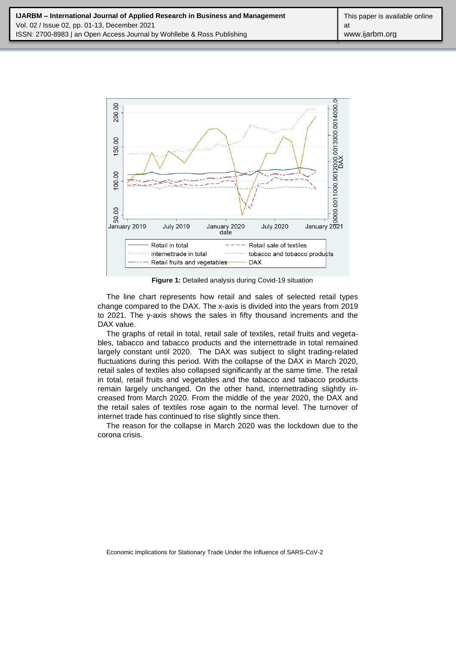

**Figure 1:** Detailed analysis during Covid-19 situation

The line chart represents how retail and sales of selected retail types change compared to the DAX. The x-axis is divided into the years from 2019 to 2021. The y-axis shows the sales in fifty thousand increments and the DAX value.

The graphs of retail in total, retail sale of textiles, retail fruits and vegetables, tabacco and tabacco products and the internettrade in total remained largely constant until 2020. The DAX was subject to slight trading-related fluctuations during this period. With the collapse of the DAX in March 2020, retail sales of textiles also collapsed significantly at the same time. The retail in total, retail fruits and vegetables and the tabacco and tabacco products remain largely unchanged. On the other hand, internettrading slightly increased from March 2020. From the middle of the year 2020, the DAX and the retail sales of textiles rose again to the normal level. The turnover of internet trade has continued to rise slightly since then.

The reason for the collapse in March 2020 was the lockdown due to the corona crisis.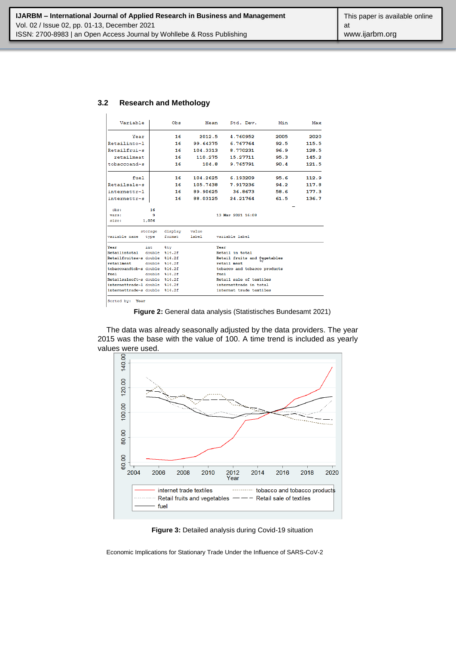#### **3.2 Research and Methology**

| Variable                       |                | Obs             | Mean     | Std. Dev.                           | Min  | Max   |  |  |  |  |
|--------------------------------|----------------|-----------------|----------|-------------------------------------|------|-------|--|--|--|--|
| Year                           |                | 16              | 2012.5   | 4.760952                            | 2005 | 2020  |  |  |  |  |
| Retailinto~l                   |                | 16              | 99.64375 | 6.767764                            | 92.5 | 115.5 |  |  |  |  |
| Retailfrui~s                   |                | 16              | 104.3313 | 8.770231                            | 96.9 | 128.5 |  |  |  |  |
| retailmeat                     |                | 16              | 110.275  | 15.27711                            | 95.3 | 145.2 |  |  |  |  |
| tobaccoand~s                   |                | 16              | 104.8    | 9.765791                            | 90.4 | 121.5 |  |  |  |  |
| fuel                           |                | 16              | 104.2625 | 6.193209                            | 95.6 | 112.9 |  |  |  |  |
| Retailsale~s                   |                | 16              | 105,7438 | 7.917236                            | 94.2 | 117.8 |  |  |  |  |
| internettr~1                   |                | 16              | 89.90625 | 36.8673                             | 58.6 | 177.3 |  |  |  |  |
| internettr~s                   |                | 16              | 88.03125 | 24.21764                            | 61.5 | 136.7 |  |  |  |  |
| obs:                           | 16             |                 |          |                                     |      |       |  |  |  |  |
| vars:                          | 9              |                 |          | 13 Mar 2021 16:08                   |      |       |  |  |  |  |
| size:                          | 1,056          |                 |          |                                     |      |       |  |  |  |  |
|                                | storage        | display         | value    |                                     |      |       |  |  |  |  |
| variable name                  | type           | format          | label    | variable label                      |      |       |  |  |  |  |
| Year                           | int            | <b>&amp;tv</b>  |          | Year                                |      |       |  |  |  |  |
| Retailintotal                  | double \$14.2f |                 |          | Retail in total                     |      |       |  |  |  |  |
| Retailfruitsa~s double         |                | \$14.2f         |          | Retail fruits and <i>iggetables</i> |      |       |  |  |  |  |
| retailmeat                     |                | double $$14.2f$ |          | retail meat                         |      |       |  |  |  |  |
| tobaccoandtob~s double %14.2f  |                |                 |          | tobacco and tobacco products        |      |       |  |  |  |  |
| fuel                           |                | double $$14.2f$ |          | fuel                                |      |       |  |  |  |  |
| Retailsaleoft~s double %14.2f  |                |                 |          | Retail sale of textiles             |      |       |  |  |  |  |
| internettrade~1 double %14.2f  |                |                 |          | internettrade in total              |      |       |  |  |  |  |
| internettrade~s double \$14.2f |                |                 |          | internet trade textiles             |      |       |  |  |  |  |
|                                |                |                 |          |                                     |      |       |  |  |  |  |

Sorted by: Year

**Figure 2:** General data analysis (Statistisches Bundesamt 2021)

The data was already seasonally adjusted by the data providers. The year 2015 was the base with the value of 100. A time trend is included as yearly



**Figure 3:** Detailed analysis during Covid-19 situation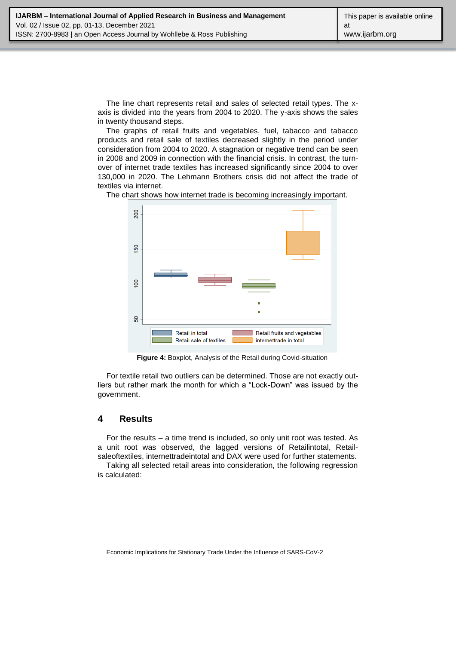The line chart represents retail and sales of selected retail types. The xaxis is divided into the years from 2004 to 2020. The y-axis shows the sales in twenty thousand steps.

The graphs of retail fruits and vegetables, fuel, tabacco and tabacco products and retail sale of textiles decreased slightly in the period under consideration from 2004 to 2020. A stagnation or negative trend can be seen in 2008 and 2009 in connection with the financial crisis. In contrast, the turnover of internet trade textiles has increased significantly since 2004 to over 130,000 in 2020. The Lehmann Brothers crisis did not affect the trade of textiles via internet.

The chart shows how internet trade is becoming increasingly important.



**Figure 4:** Boxplot, Analysis of the Retail during Covid-situation

For textile retail two outliers can be determined. Those are not exactly outliers but rather mark the month for which a "Lock-Down" was issued by the government.

### **4 Results**

For the results – a time trend is included, so only unit root was tested. As a unit root was observed, the lagged versions of Retailintotal, Retailsaleoftextiles, internettradeintotal and DAX were used for further statements.

Taking all selected retail areas into consideration, the following regression is calculated: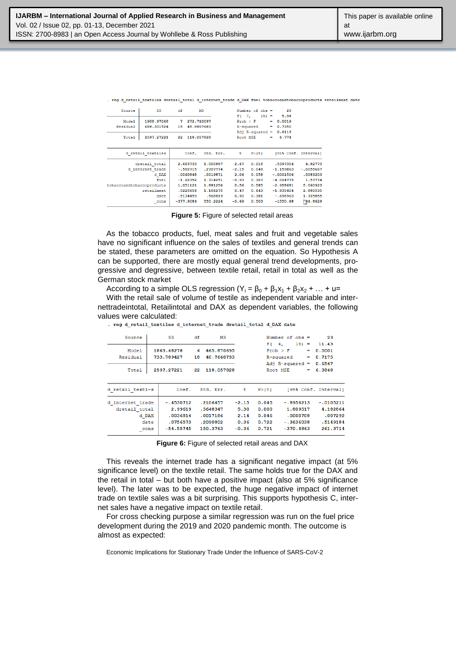|  |  |  | , reg d retail textiles dretail total d internet trade d DAX fuel tobaccoandtobaccoproducts retailmeat date |  |
|--|--|--|-------------------------------------------------------------------------------------------------------------|--|
|  |  |  |                                                                                                             |  |

| Source                    | SS.                      | df               |                          | MS        |                    | Number of $obs =$                      |          | 23                       |                      |
|---------------------------|--------------------------|------------------|--------------------------|-----------|--------------------|----------------------------------------|----------|--------------------------|----------------------|
| Model<br>Residual         | 1908.97068<br>688.301524 | 7<br>15          | 272.710097<br>45.8867683 |           | F(<br>$Prob$ > $F$ | $15) =$<br>7 <sub>r</sub><br>R-squared | $\equiv$ | 5.94<br>0.0019<br>0.7350 |                      |
| Total                     | 2597.27221               | 22<br>118.057828 |                          |           | Root MSE           | Adj $R$ -squared =                     | $=$      | 0.6113<br>6.774          |                      |
|                           | d retail textiles        |                  | Coef.                    | Std. Err. | τ                  | P >  t                                 |          |                          | [95% Conf. Interval] |
|                           | dretail total            |                  | 2.683733                 | 1.005887  | 2.67               | 0.018                                  |          | .5397354                 | 4.82773              |
|                           | d internet trade         |                  | $-.582715$               | .2707774  | $-2.15$            | 0.048                                  |          | $-1.159863$              | $-.0055667$          |
|                           | d DAX                    |                  | .0040848                 | .0019871  | 2.06               | 0.058                                  |          | $-.0001506$              | .0083203             |
|                           | fuel                     |                  | $-1.22352$               | 1.314251  | $-0.93$            | 0.367                                  |          | $-4.024779$              | 1.57774              |
| tobaccoandtobaccoproducts |                          |                  | 1.051121                 | 1.881256  | 0.56               | 0.585                                  |          | $-2.958681$              | 5.060923             |
|                           | retailmeat               |                  | .5225656                 | 1.106275  | 0.47               | 0.643                                  |          | $-1.835404$              | 2.880535             |
|                           | date                     |                  | .5134459                 | .568819   | 0.90               | 0.381                                  |          | $-.698963$               | 1.725855             |
|                           | cons                     |                  | $-377.9084$              | 550.2224  | $-0.69$            | 0.503                                  |          | $-1550.68$               | $\sqrt{94.8629}$     |

**Figure 5:** Figure of selected retail areas

As the tobacco products, fuel, meat sales and fruit and vegetable sales have no significant influence on the sales of textiles and general trends can be stated, these parameters are omitted on the equation. So Hypothesis A can be supported, there are mostly equal general trend developments, progressive and degressive, between textile retail, retail in total as well as the German stock market

According to a simple OLS regression ( $Y_i = \beta_0 + \beta_1 x_1 + \beta_2 x_2 + ... + u=$ 

With the retail sale of volume of testile as independent variable and internettradeintotal, Retailintotal and DAX as dependent variables, the following values were calculated:

| Source            |      | SS                       | df      | MS                       |         | Number of $obs =$                                       |             |          |                    | 23                                  |
|-------------------|------|--------------------------|---------|--------------------------|---------|---------------------------------------------------------|-------------|----------|--------------------|-------------------------------------|
| Model<br>Residual |      | 1863.48278<br>733.789427 | 4<br>18 | 465.870695<br>40.7660793 |         | 4,<br>F (<br>$Prob$ > $F$<br>R-squared<br>Adj R-squared |             | $18) =$  | =<br>$\equiv$<br>- | 11.43<br>0.0001<br>0.7175<br>0.6547 |
| Total             |      | 2597.27221               | 22      | 118.057828               |         | Root MSE                                                |             |          | ≕                  | 6.3848                              |
|                   |      |                          |         |                          |         |                                                         |             |          |                    |                                     |
| d retail texti~s  |      | Coef.                    |         | Std. Err.                | t       | P >  t                                                  |             |          |                    | [95% Conf. Interval]                |
| d internet trade  |      | $-.4530712$              |         | .2106457                 | $-2.15$ | 0.045                                                   | $-.8956213$ |          |                    | $-.0105211$                         |
| dretail total     |      | 2.99619                  |         | .5648347                 | 5.30    | 0.000                                                   |             | 1.809517 |                    | 4.182864                            |
| d DAX             |      | .0036814                 |         | .0017186                 | 2.14    | 0.046                                                   |             | .0000708 |                    | .007292                             |
|                   | date | .0756573                 |         | .2090802                 | 0.36    | 0.722                                                   | $-.3636038$ |          |                    | .5149184                            |
|                   | cons | $-54.55745$              |         | 150.3763                 | $-0.36$ | 0.721                                                   | $-370.4863$ |          |                    | 261.3714                            |

. reg d\_retail\_textiles d\_internet\_trade dretail\_total d\_DAX date

**Figure 6:** Figure of selected retail areas and DAX

This reveals the internet trade has a significant negative impact (at 5% significance level) on the textile retail. The same holds true for the DAX and the retail in total – but both have a positive impact (also at 5% significance level). The later was to be expected, the huge negative impact of internet trade on textile sales was a bit surprising. This supports hypothesis C, internet sales have a negative impact on textile retail.

For cross checking purpose a similar regression was run on the fuel price development during the 2019 and 2020 pandemic month. The outcome is almost as expected: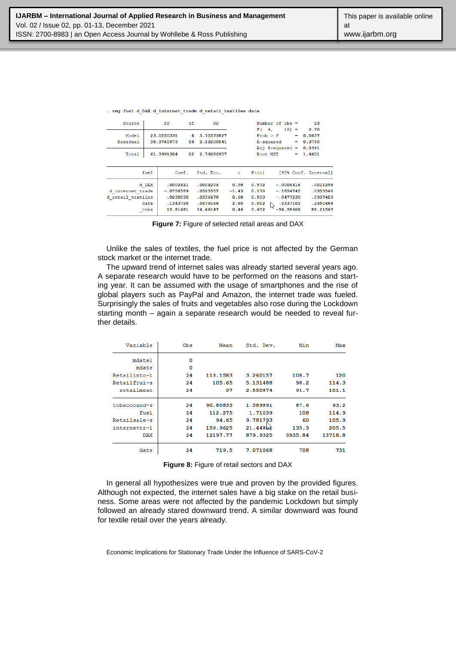|  |  | . reg fuel d DAX d internet trade d retail textiles date |  |  |  |
|--|--|----------------------------------------------------------|--|--|--|
|  |  |                                                          |  |  |  |

| Source            |       | SS          | df | MS         |         |          | Number of $obs =$  |         | 23                   |
|-------------------|-------|-------------|----|------------|---------|----------|--------------------|---------|----------------------|
|                   |       |             |    |            |         | F (      | 4,                 | $18) =$ | 2.70                 |
| Model             |       | 23.0230331  | 4  | 5.75575827 |         | Prob > F |                    | -       | 0.0637               |
| Residual          |       | 38.3760973  | 18 | 2.13200541 |         |          | R-squared          | ≕       | 0.3750               |
|                   |       |             |    |            |         |          | Adj $R$ -squared = |         | 0.2361               |
| Total             |       | 61.3991304  | 22 | 2.79086957 |         | Root MSE |                    | -       | 1.4601               |
|                   |       |             |    |            |         |          |                    |         |                      |
|                   |       |             |    |            |         |          |                    |         |                      |
|                   | fuel  | Coef.       |    | Std. Err.  | τ       | P >  t   |                    |         | [95% Conf. Interval] |
|                   |       |             |    |            |         |          |                    |         |                      |
|                   | d DAX | .0002421    |    | .0004206   | 0.58    | 0.572    | $-.0006416$        |         | .0011258             |
| d internet trade  |       | $-.0750589$ |    | .0525557   | $-1.43$ | 0.170    | $-.1854745$        |         | .0353566             |
| d retail textiles |       | .0230095    |    | .0336678   | 0.68    | 0.503    | $-.0477239$        |         | .0937429             |
|                   | date  | .1343795    |    | .0479168   | 2.80    | 0.012    | .0337101           |         | .2350488             |
|                   | cons  | 15.81481    |    | 34.46147   | 0.46    | 0.652    | W<br>$-56.58606$   |         | 88.21567             |
|                   |       |             |    |            |         |          |                    |         |                      |

**Figure 7:** Figure of selected retail areas and DAX

Unlike the sales of textiles, the fuel price is not affected by the German stock market or the internet trade.

The upward trend of internet sales was already started several years ago. A separate research would have to be performed on the reasons and starting year. It can be assumed with the usage of smartphones and the rise of global players such as PayPal and Amazon, the internet trade was fueled. Surprisingly the sales of fruits and vegetables also rose during the Lockdown starting month – again a separate research would be needed to reveal further details.

| Variable     | Obs | Mean     | Std. Dev. | Min     | Max     |
|--------------|-----|----------|-----------|---------|---------|
| mdatel       | 0   |          |           |         |         |
| mdate        | 0   |          |           |         |         |
| Retailinto~1 | 24  | 113.1583 | 3.260157  | 108.7   | 120     |
| Retailfrui~s | 24  | 105.65   | 5.131488  | 98.2    | 114.3   |
| retailmeat   | 24  | 97       | 2.550874  | 91.7    | 101.1   |
| tobaccoand~s | 24  | 90.80833 | 1.589891  | 87.6    | 93.2    |
| fuel         | 24  | 112.275  | 1.71039   | 108     | 114.9   |
| Retailsale~s | 24  | 94.65    | 9.781793  | 60      | 105.9   |
| internettr~l | 24  | 159.9625 | 21.448    | 135.3   | 205.5   |
| DAX          | 24  | 12197.77 | 879.9325  | 9935.84 | 13718.8 |
| date         | 24  | 719.5    | 7.071068  | 708     | 731     |

**Figure 8:** Figure of retail sectors and DAX

In general all hypothesizes were true and proven by the provided figures. Although not expected, the internet sales have a big stake on the retail business. Some areas were not affected by the pandemic Lockdown but simply followed an already stared downward trend. A similar downward was found for textile retail over the years already.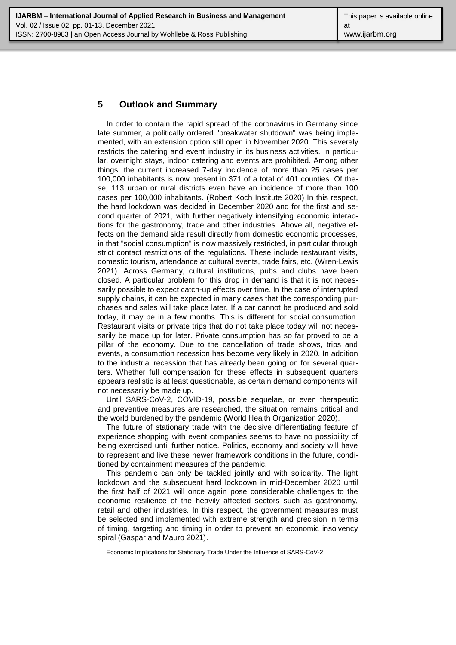### **5 Outlook and Summary**

In order to contain the rapid spread of the coronavirus in Germany since late summer, a politically ordered "breakwater shutdown" was being implemented, with an extension option still open in November 2020. This severely restricts the catering and event industry in its business activities. In particular, overnight stays, indoor catering and events are prohibited. Among other things, the current increased 7-day incidence of more than 25 cases per 100,000 inhabitants is now present in 371 of a total of 401 counties. Of these, 113 urban or rural districts even have an incidence of more than 100 cases per 100,000 inhabitants. (Robert Koch Institute 2020) In this respect, the hard lockdown was decided in December 2020 and for the first and second quarter of 2021, with further negatively intensifying economic interactions for the gastronomy, trade and other industries. Above all, negative effects on the demand side result directly from domestic economic processes, in that "social consumption" is now massively restricted, in particular through strict contact restrictions of the regulations. These include restaurant visits, domestic tourism, attendance at cultural events, trade fairs, etc. (Wren-Lewis 2021). Across Germany, cultural institutions, pubs and clubs have been closed. A particular problem for this drop in demand is that it is not necessarily possible to expect catch-up effects over time. In the case of interrupted supply chains, it can be expected in many cases that the corresponding purchases and sales will take place later. If a car cannot be produced and sold today, it may be in a few months. This is different for social consumption. Restaurant visits or private trips that do not take place today will not necessarily be made up for later. Private consumption has so far proved to be a pillar of the economy. Due to the cancellation of trade shows, trips and events, a consumption recession has become very likely in 2020. In addition to the industrial recession that has already been going on for several quarters. Whether full compensation for these effects in subsequent quarters appears realistic is at least questionable, as certain demand components will not necessarily be made up.

Until SARS-CoV-2, COVID-19, possible sequelae, or even therapeutic and preventive measures are researched, the situation remains critical and the world burdened by the pandemic (World Health Organization 2020).

The future of stationary trade with the decisive differentiating feature of experience shopping with event companies seems to have no possibility of being exercised until further notice. Politics, economy and society will have to represent and live these newer framework conditions in the future, conditioned by containment measures of the pandemic.

This pandemic can only be tackled jointly and with solidarity. The light lockdown and the subsequent hard lockdown in mid-December 2020 until the first half of 2021 will once again pose considerable challenges to the economic resilience of the heavily affected sectors such as gastronomy, retail and other industries. In this respect, the government measures must be selected and implemented with extreme strength and precision in terms of timing, targeting and timing in order to prevent an economic insolvency spiral (Gaspar and Mauro 2021).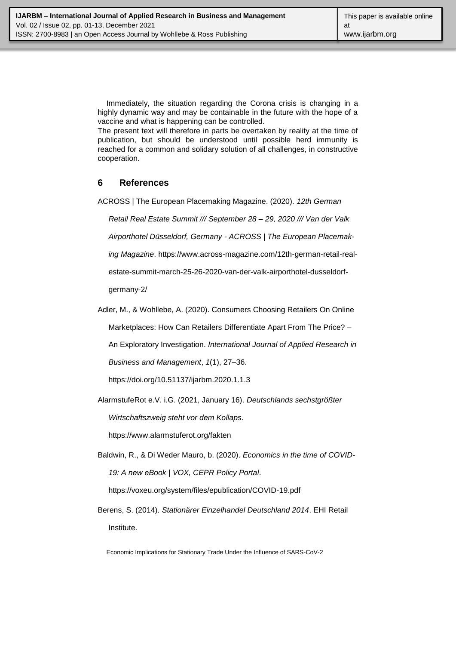Immediately, the situation regarding the Corona crisis is changing in a highly dynamic way and may be containable in the future with the hope of a vaccine and what is happening can be controlled.

The present text will therefore in parts be overtaken by reality at the time of publication, but should be understood until possible herd immunity is reached for a common and solidary solution of all challenges, in constructive cooperation.

# **6 References**

ACROSS | The European Placemaking Magazine. (2020). *12th German* 

*Retail Real Estate Summit /// September 28 – 29, 2020 /// Van der Valk* 

*Airporthotel Düsseldorf, Germany - ACROSS | The European Placemak-*

*ing Magazine*. https://www.across-magazine.com/12th-german-retail-real-

estate-summit-march-25-26-2020-van-der-valk-airporthotel-dusseldorf-

germany-2/

Adler, M., & Wohllebe, A. (2020). Consumers Choosing Retailers On Online

Marketplaces: How Can Retailers Differentiate Apart From The Price? –

An Exploratory Investigation. *International Journal of Applied Research in* 

*Business and Management*, *1*(1), 27–36.

https://doi.org/10.51137/ijarbm.2020.1.1.3

AlarmstufeRot e.V. i.G. (2021, January 16). *Deutschlands sechstgrößter* 

*Wirtschaftszweig steht vor dem Kollaps*.

https://www.alarmstuferot.org/fakten

Baldwin, R., & Di Weder Mauro, b. (2020). *Economics in the time of COVID-19: A new eBook | VOX, CEPR Policy Portal*.

https://voxeu.org/system/files/epublication/COVID-19.pdf

Berens, S. (2014). *Stationärer Einzelhandel Deutschland 2014*. EHI Retail Institute.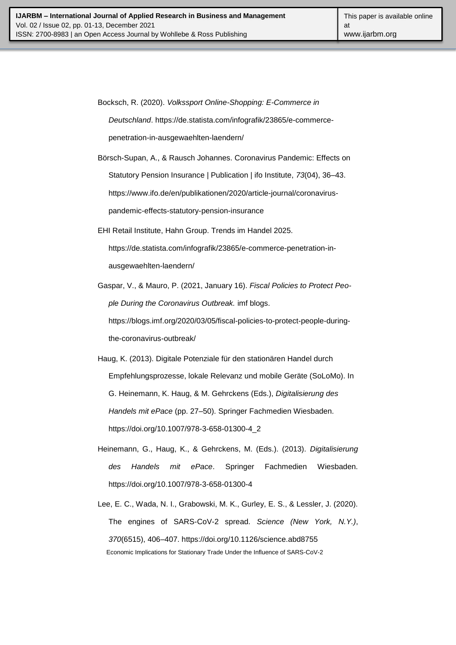Bocksch, R. (2020). *Volkssport Online-Shopping: E-Commerce in Deutschland*. https://de.statista.com/infografik/23865/e-commercepenetration-in-ausgewaehlten-laendern/

Börsch-Supan, A., & Rausch Johannes. Coronavirus Pandemic: Effects on Statutory Pension Insurance | Publication | ifo Institute, *73*(04), 36–43. https://www.ifo.de/en/publikationen/2020/article-journal/coronaviruspandemic-effects-statutory-pension-insurance

- EHI Retail Institute, Hahn Group. Trends im Handel 2025. https://de.statista.com/infografik/23865/e-commerce-penetration-inausgewaehlten-laendern/
- Gaspar, V., & Mauro, P. (2021, January 16). *Fiscal Policies to Protect People During the Coronavirus Outbreak.* imf blogs. https://blogs.imf.org/2020/03/05/fiscal-policies-to-protect-people-during-

the-coronavirus-outbreak/

Haug, K. (2013). Digitale Potenziale für den stationären Handel durch Empfehlungsprozesse, lokale Relevanz und mobile Geräte (SoLoMo). In G. Heinemann, K. Haug, & M. Gehrckens (Eds.), *Digitalisierung des Handels mit ePace* (pp. 27–50). Springer Fachmedien Wiesbaden. https://doi.org/10.1007/978-3-658-01300-4\_2

- Heinemann, G., Haug, K., & Gehrckens, M. (Eds.). (2013). *Digitalisierung des Handels mit ePace*. Springer Fachmedien Wiesbaden. https://doi.org/10.1007/978-3-658-01300-4
- Economic Implications for Stationary Trade Under the Influence of SARS-CoV-2 Lee, E. C., Wada, N. I., Grabowski, M. K., Gurley, E. S., & Lessler, J. (2020). The engines of SARS-CoV-2 spread. *Science (New York, N.Y.)*, *370*(6515), 406–407. https://doi.org/10.1126/science.abd8755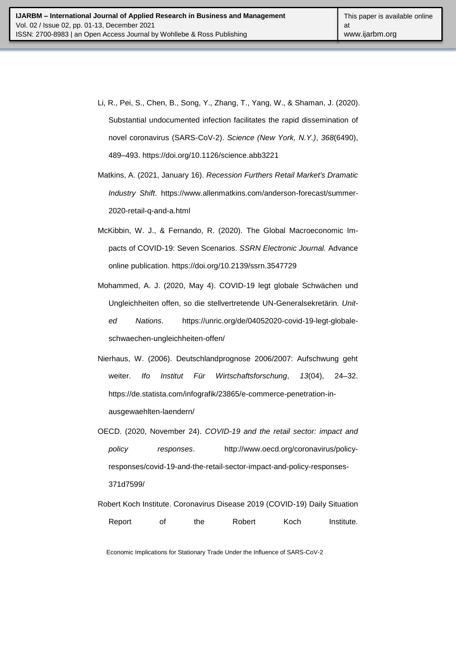- Li, R., Pei, S., Chen, B., Song, Y., Zhang, T., Yang, W., & Shaman, J. (2020). Substantial undocumented infection facilitates the rapid dissemination of novel coronavirus (SARS-CoV-2). *Science (New York, N.Y.)*, *368*(6490), 489–493. https://doi.org/10.1126/science.abb3221
- Matkins, A. (2021, January 16). *Recession Furthers Retail Market's Dramatic Industry Shift*. https://www.allenmatkins.com/anderson-forecast/summer-2020-retail-q-and-a.html
- McKibbin, W. J., & Fernando, R. (2020). The Global Macroeconomic Impacts of COVID-19: Seven Scenarios. *SSRN Electronic Journal.* Advance online publication. https://doi.org/10.2139/ssrn.3547729
- Mohammed, A. J. (2020, May 4). COVID-19 legt globale Schwächen und Ungleichheiten offen, so die stellvertretende UN-Generalsekretärin. *United Nations*. https://unric.org/de/04052020-covid-19-legt-globaleschwaechen-ungleichheiten-offen/
- Nierhaus, W. (2006). Deutschlandprognose 2006/2007: Aufschwung geht weiter. *Ifo Institut Für Wirtschaftsforschung*, *13*(04), 24–32. https://de.statista.com/infografik/23865/e-commerce-penetration-inausgewaehlten-laendern/
- OECD. (2020, November 24). *COVID-19 and the retail sector: impact and policy responses*. http://www.oecd.org/coronavirus/policyresponses/covid-19-and-the-retail-sector-impact-and-policy-responses-371d7599/
- Robert Koch Institute. Coronavirus Disease 2019 (COVID-19) Daily Situation Report of the Robert Koch Institute.